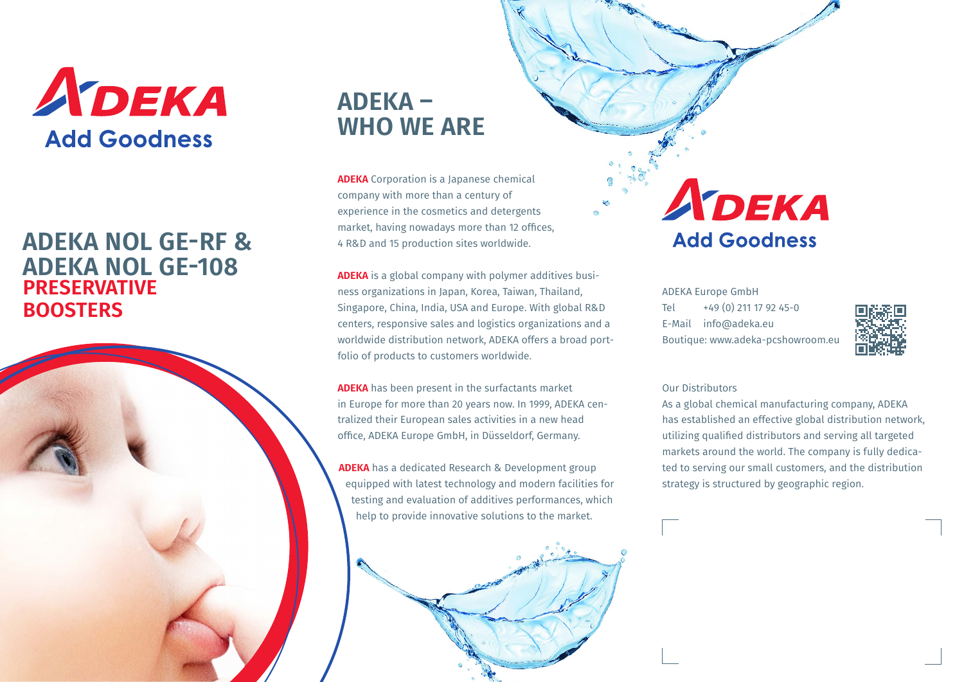

## **PRESERVATIVE BOOSTERS ADEKA NOL GE-RF & ADEKA NOL GE-108**



## **ADEKA – WHO WE ARE**

**ADEKA** Corporation is a Japanese chemical company with more than a century of experience in the cosmetics and detergents market, having nowadays more than 12 offices, 4 R&D and 15 production sites worldwide.

**ADEKA** is a global company with polymer additives business organizations in Japan, Korea, Taiwan, Thailand, Singapore, China, India, USA and Europe. With global R&D centers, responsive sales and logistics organizations and a worldwide distribution network, ADEKA offers a broad portfolio of products to customers worldwide.

**ADEKA** has been present in the surfactants market in Europe for more than 20 years now. In 1999, ADEKA centralized their European sales activities in a new head office, ADEKA Europe GmbH, in Düsseldorf, Germany.

**ADEKA** has a dedicated Research & Development group equipped with latest technology and modern facilities for testing and evaluation of additives performances, which help to provide innovative solutions to the market.



# ADEKA **Add Goodness**

ADEKA Europe GmbH Tel +49 (0) 211 17 92 45-0 E-Mail info@adeka.eu Boutique: www.adeka-pcshowroom.eu



#### Our Distributors

As a global chemical manufacturing company, ADEKA has established an effective global distribution network, utilizing qualified distributors and serving all targeted markets around the world. The company is fully dedicated to serving our small customers, and the distribution strategy is structured by geographic region.